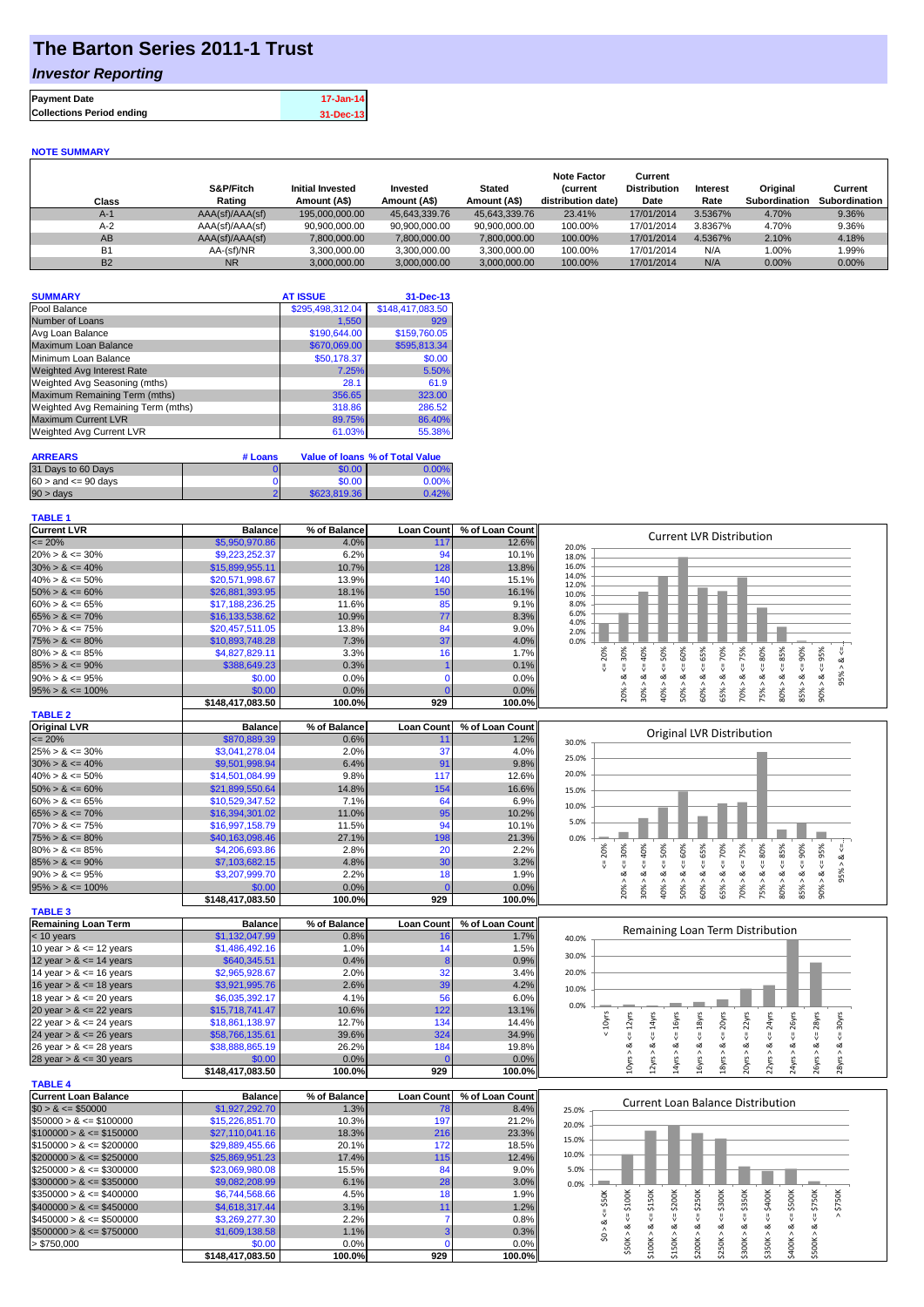# **The Barton Series 2011-1 Trust**

## *Investor Reporting*

| <b>Payment Date</b>              | 17-Jan-14 |
|----------------------------------|-----------|
| <b>Collections Period ending</b> | 31-Dec-13 |
|                                  |           |

### **NOTE SUMMARY**

| Class     | S&P/Fitch<br>Rating | <b>Initial Invested</b><br>Amount (A\$) | Invested<br>Amount (A\$) | <b>Stated</b><br>Amount (A\$) | <b>Note Factor</b><br><i>(current</i><br>distribution date) | Current<br><b>Distribution</b><br>Date | <b>Interest</b><br>Rate | Original<br>Subordination | Current<br><b>Subordination</b> |
|-----------|---------------------|-----------------------------------------|--------------------------|-------------------------------|-------------------------------------------------------------|----------------------------------------|-------------------------|---------------------------|---------------------------------|
| $A-1$     | AAA(sf)/AAA(sf)     | 195,000,000,00                          | 45.643.339.76            | 45.643.339.76                 | 23.41%                                                      | 17/01/2014                             | 3.5367%                 | 4.70%                     | 9.36%                           |
| $A-2$     | AAA(sf)/AAA(sf)     | 90,900,000.00                           | 90,900,000.00            | 90,900,000.00                 | 100.00%                                                     | 17/01/2014                             | 3.8367%                 | 4.70%                     | 9.36%                           |
| AB        | AAA(sf)/AAA(sf)     | 7,800,000.00                            | 7,800,000.00             | 7,800,000.00                  | 100.00%                                                     | 17/01/2014                             | 4.5367%                 | 2.10%                     | 4.18%                           |
| <b>B1</b> | AA-(sf)/NR          | 3.300.000.00                            | 3,300,000.00             | 3,300,000.00                  | 100.00%                                                     | 17/01/2014                             | N/A                     | 1.00%                     | 1.99%                           |
| <b>B2</b> | <b>NR</b>           | 3.000.000.00                            | 3,000,000.00             | 3,000,000.00                  | 100.00%                                                     | 17/01/2014                             | N/A                     | 0.00%                     | $0.00\%$                        |

| <b>AT ISSUE</b><br>31-Dec-13         | <b>SUMMARY</b>                     |
|--------------------------------------|------------------------------------|
| \$148,417,083.50<br>\$295,498,312.04 | Pool Balance                       |
| 929<br>1,550                         | Number of Loans                    |
| \$159,760.05<br>\$190,644.00         | Avg Loan Balance                   |
| \$595,813.34<br>\$670,069.00         | Maximum Loan Balance               |
| \$50,178.37<br>\$0.00                | Minimum Loan Balance               |
| 7.25%<br>5.50%                       | Weighted Avg Interest Rate         |
| 61.9<br>28.1                         | Weighted Avg Seasoning (mths)      |
| 356.65<br>323.00                     | Maximum Remaining Term (mths)      |
| 318.86<br>286.52                     | Weighted Avg Remaining Term (mths) |
| 89.75%<br>86.40%                     | <b>Maximum Current LVR</b>         |
| 61.03%<br>55.38%                     | <b>Weighted Avg Current LVR</b>    |
|                                      |                                    |

| <b>ARREARS</b>            | # Loans |              | Value of Ioans % of Total Value |
|---------------------------|---------|--------------|---------------------------------|
| 31 Days to 60 Days        |         | \$0.00       | $0.00\%$                        |
| $60 >$ and $\leq 90$ days |         | \$0.00       | 0.00%                           |
| $90 > \text{davs}$        |         | \$623,819.36 | 0.42%                           |

#### **TABLE 1**

| <b>Current LVR</b>   | <b>Balance</b>   | % of Balance             | <b>Loan Count</b> | % of Loan Count            | <b>Current LVR Distribution</b>                                        |
|----------------------|------------------|--------------------------|-------------------|----------------------------|------------------------------------------------------------------------|
| $\leq$ 20%           | \$5,950,970.86   | 4.0%                     | 117 <sub>1</sub>  | 12.6%                      | 20.0%                                                                  |
| $20\% > 8 \le 30\%$  | \$9,223,252.37   | 6.2%                     | 94                | 10.1%                      | 18.0%                                                                  |
| $30\% > 8 \le 40\%$  | \$15,899,955.11  | 10.7%                    | 128               | 13.8%                      | 16.0%                                                                  |
| $40\% > 8 \le 50\%$  | \$20,571,998.67  | 13.9%                    | 140               | 15.1%                      | 14.0%<br>12.0%                                                         |
| $50\% > 8 \le 60\%$  | \$26,881,393,95  | 18.1%                    | 150               | 16.1%                      | 10.0%                                                                  |
| $60\% > 8 \le 65\%$  | \$17,188,236.25  | 11.6%                    | 85                | 9.1%                       | 8.0%                                                                   |
| $65\% > 8 \le 70\%$  | \$16,133,538.62  | 10.9%                    | 77                | 8.3%                       | 6.0%<br>4.0%                                                           |
| $70\% > 8 \le 75\%$  | \$20,457,511.05  | 13.8%                    | 84                | 9.0%                       | 2.0%                                                                   |
| $75\% > 8 \le 80\%$  | \$10,893,748.28  | 7.3%                     | 37                | 4.0%                       | 0.0%                                                                   |
| $80\% > 8 \le 85\%$  | \$4,827,829.11   | 3.3%                     | 16                | 1.7%                       | æ<br>20%<br>55%<br>50%<br>70%<br>Š.<br>Ū.<br>ûn.<br>20<br>$\circ$<br>ന |
| $85\% > 8 \le 90\%$  | \$388,649.23     | 0.3%                     |                   | 0.1%                       |                                                                        |
| $90\% > 8 \le 95\%$  | \$0.00           | 0.0%                     |                   | 0.0%                       | ∝<br>$\sigma$                                                          |
| $95\% > 8 \le 100\%$ | \$0.00           | 0.0%                     |                   | 0.0%                       | 50%<br>40%<br>60%<br>65%<br>70%<br>20%<br>85%<br>ఠ<br>30°<br>eos       |
|                      | \$148,417,083.50 | 100.0%                   | 929               | 100.0%                     | Ō                                                                      |
| <b>TABLE 2</b>       |                  |                          |                   |                            |                                                                        |
| Original LVD         | <b>Dolonoo</b>   | <b><i>Of Delenee</i></b> |                   | con Count of of Loan Count |                                                                        |

| Original LVR         | <b>Balance</b>          | % of Balance |      | Loan Count   % of Loan Count |       |    | Original LVR Distribution |   |   |    |     |   |  |
|----------------------|-------------------------|--------------|------|------------------------------|-------|----|---------------------------|---|---|----|-----|---|--|
| $\leq$ 20%           | \$870,889.39            | 0.6%         |      | 1.2%                         | 30.0% |    |                           |   |   |    |     |   |  |
| $25\% > 8 \le 30\%$  | \$3,041,278,04          | 2.0%         | 37   | $4.0\%$                      | 25.0% |    |                           |   |   |    |     |   |  |
| $30\% > 8 \le 40\%$  | \$9,501,998.94          | 6.4%         | 91   | 9.8%                         |       |    |                           |   |   |    |     |   |  |
| $40\% > 8 \le 50\%$  | \$14,501,084.99         | 9.8%         | 117  | 12.6%                        | 20.0% |    |                           |   |   |    |     |   |  |
| $50\% > 8 \le 60\%$  | \$21,899,550.64         | 14.8%        | 154  | 16.6%                        | 15.0% |    |                           |   |   |    |     |   |  |
| $60\% > 8 \le 65\%$  | \$10,529,347.52         | 7.1%         | 64   | 6.9%                         | 10.0% |    |                           |   |   |    |     |   |  |
| $65\% > 8 \le 70\%$  | \$16.394.301.02         | 11.0%        | 95   | 10.2%                        |       |    |                           |   |   |    |     |   |  |
| $70\% > 8 \le 75\%$  | \$16,997,158.79         | 11.5%        | 94   | 10.1%                        | 5.0%  |    |                           |   |   |    |     |   |  |
| $75\% > 8 \le 80\%$  | \$40,163,098.46         | 27.1%        | 198  | 21.3%                        | 0.0%  |    |                           |   |   |    |     |   |  |
| $80\% > 8 \le 85\%$  | \$4,206,693,86          | 2.8%         | 20   | 2.2%                         |       | ്റ | ŵО.                       | Š | Ò | Š. | 90% | ≫ |  |
| $85\% > 8 \le 90\%$  | \$7.103.682.15          | 4.8%         | 30   | 3.2%                         |       |    |                           |   |   |    |     |   |  |
| $90\% > 8 \le 95\%$  | \$3,207,999.70          | 2.2%         | 18   | 1.9%                         |       |    |                           |   |   |    |     |   |  |
| $95\% > 8 \le 100\%$ | \$0.00                  | 0.0%         |      | 0.0%                         |       |    |                           |   |   |    |     |   |  |
|                      | <b>CAAD AAZ 000 EQ.</b> | 400.001      | non. | 300.001                      |       |    |                           |   |   |    |     |   |  |

|                            | ----             |              |                   |                 |
|----------------------------|------------------|--------------|-------------------|-----------------|
|                            | \$148.417.083.50 | 100.0%       | 929               | 100.0%          |
| <b>TABLE 3</b>             |                  |              |                   |                 |
| <b>Remaining Loan Term</b> | <b>Balance</b>   | % of Balance | <b>Loan Count</b> | % of Loan Count |
| $<$ 10 years               | \$1,132,047.99   | 0.8%         | 16                | 1.7%            |
| 10 year $> 8 \le 12$ years | \$1,486,492.16   | 1.0%         | 14                | 1.5%            |
| 12 year $> 8 \le 14$ years | \$640,345.51     | 0.4%         | 8                 | 0.9%            |
| 14 year $> 8 \le 16$ years | \$2,965,928.67   | 2.0%         | 32                | 3.4%            |
| 16 year $> 8 \le 18$ years | \$3,921,995.76   | 2.6%         | 39                | 4.2%            |
| 18 year $> 8 \le 20$ years | \$6,035,392.17   | 4.1%         | 56                | 6.0%            |
| 20 year $> 8 \le 22$ years | \$15,718,741.47  | 10.6%        | 122               | 13.1%           |
| 22 year $> 8 \le 24$ years | \$18,861,138.97  | 12.7%        | 134               | 14.4%           |
| 24 year $> 8 \le 26$ years | \$58,766,135.61  | 39.6%        | 324               | 34.9%           |
| 26 year $> 8 \le 28$ years | \$38,888,865.19  | 26.2%        | 184               | 19.8%           |
| 28 year $> 8 \le 30$ years | \$0.00           | 0.0%         |                   | 0.0%            |
|                            | \$148.417.083.50 | 100.0%       | 929               | 100.0%          |

|                             | 9140,417,000.00  | <b>IUU.U70</b> | 323               | 100.0701        |       |
|-----------------------------|------------------|----------------|-------------------|-----------------|-------|
| <b>TABLE 4</b>              |                  |                |                   |                 |       |
| <b>Current Loan Balance</b> | <b>Balance</b>   | % of Balance   | <b>Loan Count</b> | % of Loan Count |       |
| $$0 > 8 \leq $50000$        | \$1,927,292.70   | 1.3%           | 78                | 8.4%            | 25.0% |
| $\$50000 > 8 \leq \$100000$ | \$15,226,851.70  | 10.3%          | 197               | 21.2%           | 20.0% |
| $$100000 > 8 \leq $150000$  | \$27,110,041,16  | 18.3%          | 216               | 23.3%           |       |
| $$150000 > 8 \leq $200000$  | \$29,889,455,66  | 20.1%          | 172               | 18.5%           | 15.0% |
| $$200000 > 8 \leq $250000$  | \$25,869,951.23  | 17.4%          | 115               | 12.4%           | 10.0% |
| $$250000 > 8 \leq $300000$  | \$23,069,980.08  | 15.5%          | 84                | 9.0%            | 5.0%  |
| $$300000 > 8 \leq $350000$  | \$9.082,208.99   | 6.1%           | 28                | 3.0%            | 0.0%  |
| $$350000 > 8 \leq $400000$  | \$6,744,568.66   | 4.5%           | 18                | 1.9%            |       |
| $$400000 > 8 \leq $450000$  | \$4,618,317,44   | 3.1%           | 11                | 1.2%            |       |
| $$450000 > 8 \leq $500000$  | \$3,269,277,30   | 2.2%           |                   | 0.8%            |       |
| $$500000 > 8 \leq $750000$  | \$1,609,138,58   | 1.1%           | 3                 | 0.3%            |       |
| > \$750,000                 | \$0.00           | 0.0%           |                   | 0.0%            |       |
|                             | \$148.417.083.50 | 100.0%         | 929               | 100.0%l         |       |